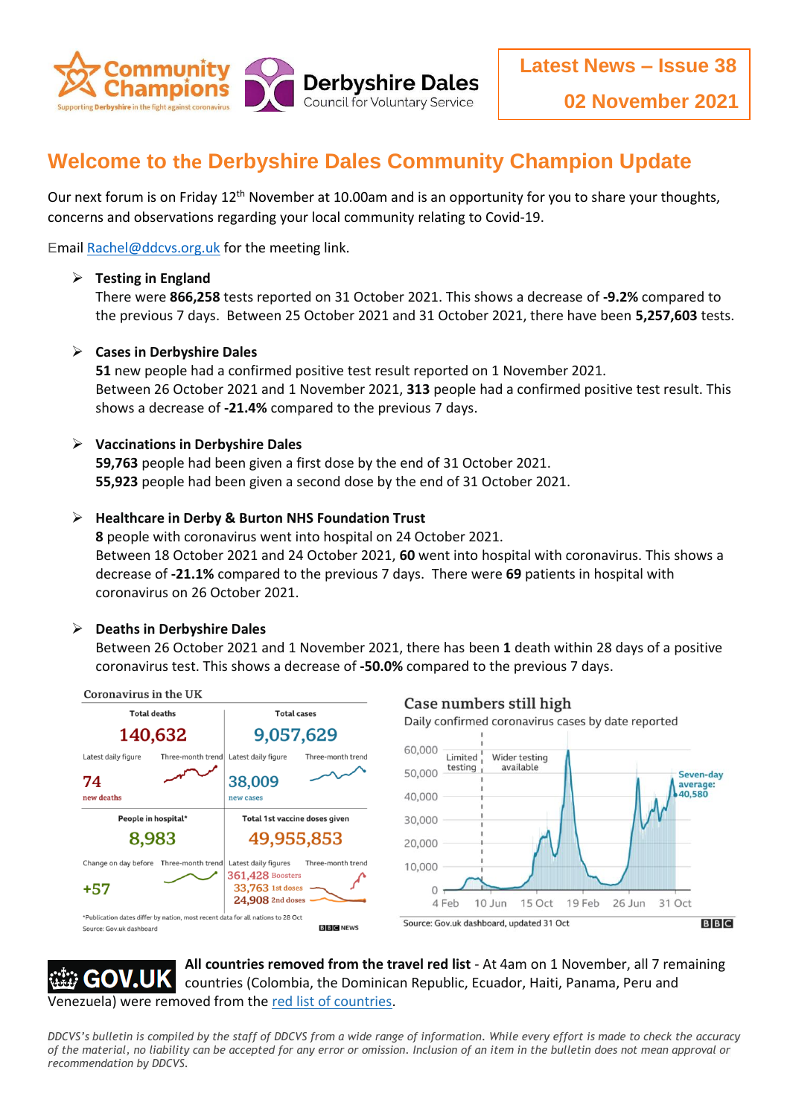

# **Welcome to the Derbyshire Dales Community Champion Update**

Our next forum is on Friday 12<sup>th</sup> November at 10.00am and is an opportunity for you to share your thoughts, concerns and observations regarding your local community relating to Covid-19.

Emai[l Rachel@ddcvs.org.uk](mailto:Rachel@ddcvs.org.uk) for the meeting link.

# **Testing in England**

There were **866,258** tests reported on 31 October 2021. This shows a decrease of **-9.2%** compared to the previous 7 days. Between 25 October 2021 and 31 October 2021, there have been **5,257,603** tests.

# **Cases in Derbyshire Dales**

**51** new people had a confirmed positive test result reported on 1 November 2021. Between 26 October 2021 and 1 November 2021, **313** people had a confirmed positive test result. This shows a decrease of **-21.4%** compared to the previous 7 days.

# **Vaccinations in Derbyshire Dales**

**59,763** people had been given a first dose by the end of 31 October 2021. **55,923** people had been given a second dose by the end of 31 October 2021.

# **Healthcare in Derby & Burton NHS Foundation Trust**

**8** people with coronavirus went into hospital on 24 October 2021. Between 18 October 2021 and 24 October 2021, **60** went into hospital with coronavirus. This shows a decrease of **-21.1%** compared to the previous 7 days. There were **69** patients in hospital with coronavirus on 26 October 2021.

#### **Deaths in Derbyshire Dales**

Between 26 October 2021 and 1 November 2021, there has been **1** death within 28 days of a positive coronavirus test. This shows a decrease of **-50.0%** compared to the previous 7 days.



**All countries removed from the travel red list** - At 4am on 1 November, all 7 remaining countries (Colombia, the Dominican Republic, Ecuador, Haiti, Panama, Peru and Venezuela) were removed from the [red list of countries.](https://www.gov.uk/guidance/red-list-of-countries-and-territories)

*DDCVS's bulletin is compiled by the staff of DDCVS from a wide range of information. While every effort is made to check the accuracy of the material, no liability can be accepted for any error or omission. Inclusion of an item in the bulletin does not mean approval or recommendation by DDCVS.*